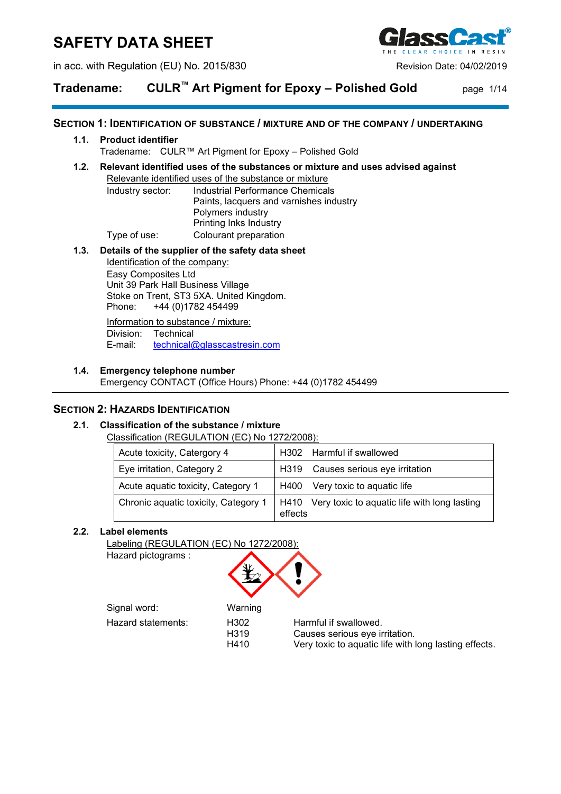# **SAFETY DATA SHEET**

in acc. with Regulation (EU) No. 2015/830 Revision Date: 04/02/2019



# **Tradename: CULR™ Art Pigment for Epoxy – Polished Gold** page 1/14

### **SECTION 1: IDENTIFICATION OF SUBSTANCE / MIXTURE AND OF THE COMPANY / UNDERTAKING**

### **1.1. Product identifier**

Tradename: CULR™ Art Pigment for Epoxy – Polished Gold

### **1.2. Relevant identified uses of the substances or mixture and uses advised against**

Relevante identified uses of the substance or mixture Industry sector: Industrial Performance Chemicals Paints, lacquers and varnishes industry Polymers industry Printing Inks Industry Type of use: Colourant preparation

### **1.3. Details of the supplier of the safety data sheet**

Identification of the company: Easy Composites Ltd Unit 39 Park Hall Business Village Stoke on Trent, ST3 5XA. United Kingdom.<br>Phone: +44 (0)1782 454499 +44 (0)1782 454499

Information to substance / mixture: Division: Technical<br>E-mail: technical [technical@glasscastresin.com](mailto:technical@glasscastresin.com)

### **1.4. Emergency telephone number**

Emergency CONTACT (Office Hours) Phone: +44 (0)1782 454499

### **SECTION 2: HAZARDS IDENTIFICATION**

### **2.1. Classification of the substance / mixture**

Classification (REGULATION (EC) No 1272/2008):

| Acute toxicity, Catergory 4          | H302 Harmful if swallowed                                    |  |
|--------------------------------------|--------------------------------------------------------------|--|
| Eye irritation, Category 2           | H319 Causes serious eye irritation                           |  |
| Acute aquatic toxicity, Category 1   | Very toxic to aquatic life<br>H400                           |  |
| Chronic aquatic toxicity, Category 1 | H410 Very toxic to aquatic life with long lasting<br>effects |  |

### **2.2. Label elements**

Labeling (REGULATION (EC) No 1272/2008):

Hazard pictograms :



Signal word: Warning

Hazard statements: H302 Harmful if swallowed.<br>H319 H319 Causes serious eve in

H319 Causes serious eye irritation.<br>H410 Very toxic to aquatic life with Very toxic to aquatic life with long lasting effects.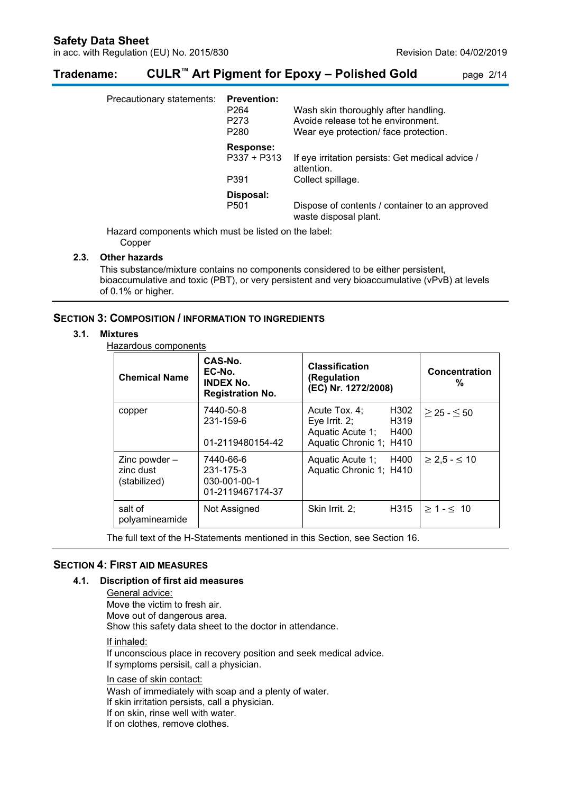# **Tradename: CULR™ Art Pigment for Epoxy – Polished Gold** page 2/14

| Precautionary statements: | <b>Prevention:</b><br>P <sub>264</sub><br>P273<br>P <sub>280</sub> | Wash skin thoroughly after handling.<br>Avoide release tot he environment.<br>Wear eye protection/ face protection. |
|---------------------------|--------------------------------------------------------------------|---------------------------------------------------------------------------------------------------------------------|
|                           | <b>Response:</b><br>$P337 + P313$                                  | If eye irritation persists: Get medical advice /<br>attention.                                                      |
|                           | P391                                                               | Collect spillage.                                                                                                   |
|                           | Disposal:<br>P <sub>501</sub>                                      | Dispose of contents / container to an approved<br>waste disposal plant.                                             |

Hazard components which must be listed on the label:

Copper

### **2.3. Other hazards**

This substance/mixture contains no components considered to be either persistent, bioaccumulative and toxic (PBT), or very persistent and very bioaccumulative (vPvB) at levels of 0.1% or higher.

### **SECTION 3: COMPOSITION / INFORMATION TO INGREDIENTS**

#### **3.1. Mixtures**

Hazardous components

| <b>Chemical Name</b>                         | CAS-No.<br>EC-No.<br><b>INDEX No.</b><br><b>Registration No.</b> | <b>Classification</b><br>(Regulation<br>(EC) Nr. 1272/2008)                           |              | Concentration<br>%     |
|----------------------------------------------|------------------------------------------------------------------|---------------------------------------------------------------------------------------|--------------|------------------------|
| copper                                       | 7440-50-8<br>231-159-6<br>01-2119480154-42                       | Acute Tox. 4;<br>Eye Irrit. $2$ ;<br>Aquatic Acute 1; H400<br>Aquatic Chronic 1; H410 | H302<br>H319 | $>$ 25 - $<$ 50        |
| Zinc powder $-$<br>zinc dust<br>(stabilized) | 7440-66-6<br>231-175-3<br>030-001-00-1<br>01-2119467174-37       | Aquatic Acute 1; H400<br>Aquatic Chronic 1; H410                                      |              | $\geq$ 2,5 - $\leq$ 10 |
| salt of<br>polyamineamide                    | Not Assigned                                                     | Skin Irrit. 2;                                                                        | H315         | $>1 - 5$ 10            |

The full text of the H-Statements mentioned in this Section, see Section 16.

### **SECTION 4: FIRST AID MEASURES**

#### **4.1. Discription of first aid measures**

General advice: Move the victim to fresh air. Move out of dangerous area. Show this safety data sheet to the doctor in attendance. If inhaled: If unconscious place in recovery position and seek medical advice. If symptoms persisit, call a physician.

In case of skin contact: Wash of immediately with soap and a plenty of water. If skin irritation persists, call a physician. If on skin, rinse well with water. If on clothes, remove clothes.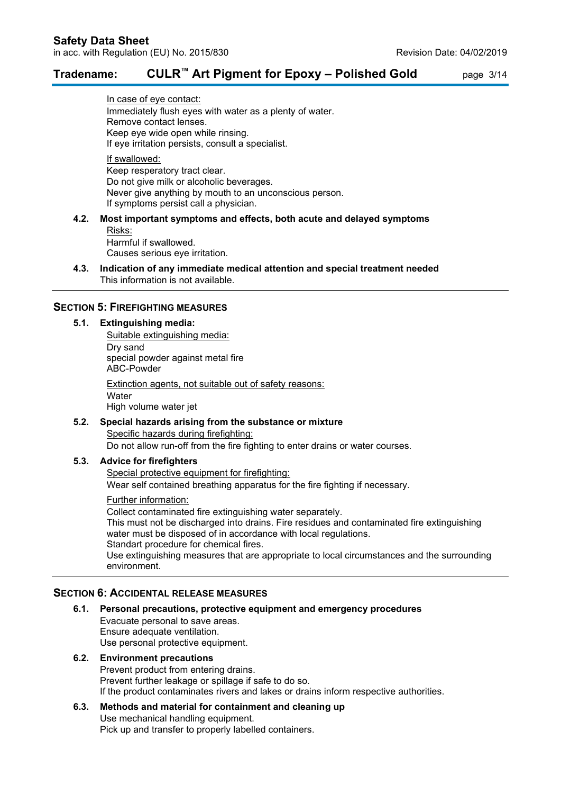### **Tradename: CULR™ Art Pigment for Epoxy – Polished Gold** page 3/14

In case of eye contact: Immediately flush eyes with water as a plenty of water. Remove contact lenses. Keep eye wide open while rinsing. If eye irritation persists, consult a specialist. If swallowed:

Keep resperatory tract clear. Do not give milk or alcoholic beverages. Never give anything by mouth to an unconscious person. If symptoms persist call a physician.

### **4.2. Most important symptoms and effects, both acute and delayed symptoms**

Risks:

Harmful if swallowed. Causes serious eye irritation.

**4.3. Indication of any immediate medical attention and special treatment needed** This information is not available.

### **SECTION 5: FIREFIGHTING MEASURES**

### **5.1. Extinguishing media:**

Suitable extinguishing media: Dry sand special powder against metal fire ABC-Powder Extinction agents, not suitable out of safety reasons: **Water** High volume water jet

### **5.2. Special hazards arising from the substance or mixture** Specific hazards during firefighting: Do not allow run-off from the fire fighting to enter drains or water courses.

### **5.3. Advice for firefighters**

Special protective equipment for firefighting: Wear self contained breathing apparatus for the fire fighting if necessary.

#### Further information:

Collect contaminated fire extinguishing water separately. This must not be discharged into drains. Fire residues and contaminated fire extinguishing water must be disposed of in accordance with local regulations. Standart procedure for chemical fires. Use extinguishing measures that are appropriate to local circumstances and the surrounding environment.

### **SECTION 6: ACCIDENTAL RELEASE MEASURES**

**6.1. Personal precautions, protective equipment and emergency procedures** Evacuate personal to save areas. Ensure adequate ventilation. Use personal protective equipment.

#### **6.2. Environment precautions** Prevent product from entering drains. Prevent further leakage or spillage if safe to do so. If the product contaminates rivers and lakes or drains inform respective authorities.

# **6.3. Methods and material for containment and cleaning up** Use mechanical handling equipment.

Pick up and transfer to properly labelled containers.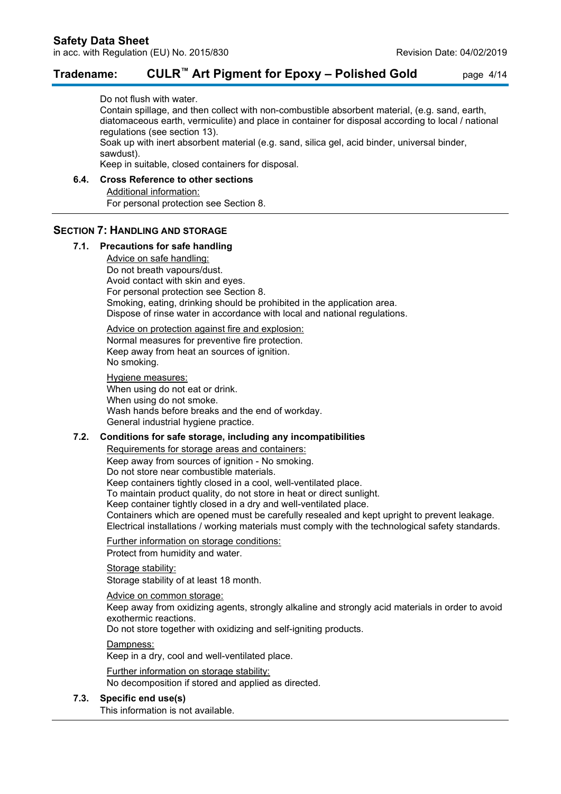### **Tradename: CULR™ Art Pigment for Epoxy – Polished Gold** page 4/14

Do not flush with water.

Contain spillage, and then collect with non-combustible absorbent material, (e.g. sand, earth, diatomaceous earth, vermiculite) and place in container for disposal according to local / national regulations (see section 13).

Soak up with inert absorbent material (e.g. sand, silica gel, acid binder, universal binder, sawdust).

Keep in suitable, closed containers for disposal.

### **6.4. Cross Reference to other sections**

Additional information: For personal protection see Section 8.

#### **SECTION 7: HANDLING AND STORAGE**

#### **7.1. Precautions for safe handling**

Advice on safe handling: Do not breath vapours/dust. Avoid contact with skin and eyes. For personal protection see Section 8. Smoking, eating, drinking should be prohibited in the application area. Dispose of rinse water in accordance with local and national regulations.

Advice on protection against fire and explosion: Normal measures for preventive fire protection. Keep away from heat an sources of ignition. No smoking.

#### Hygiene measures:

When using do not eat or drink. When using do not smoke. Wash hands before breaks and the end of workday. General industrial hygiene practice.

#### **7.2. Conditions for safe storage, including any incompatibilities**

Requirements for storage areas and containers: Keep away from sources of ignition - No smoking. Do not store near combustible materials. Keep containers tightly closed in a cool, well-ventilated place. To maintain product quality, do not store in heat or direct sunlight. Keep container tightly closed in a dry and well-ventilated place. Containers which are opened must be carefully resealed and kept upright to prevent leakage. Electrical installations / working materials must comply with the technological safety standards.

Further information on storage conditions:

Protect from humidity and water.

#### Storage stability:

Storage stability of at least 18 month.

Advice on common storage:

Keep away from oxidizing agents, strongly alkaline and strongly acid materials in order to avoid exothermic reactions.

Do not store together with oxidizing and self-igniting products.

Dampness:

Keep in a dry, cool and well-ventilated place.

Further information on storage stability:

No decomposition if stored and applied as directed.

#### **7.3. Specific end use(s)**

This information is not available.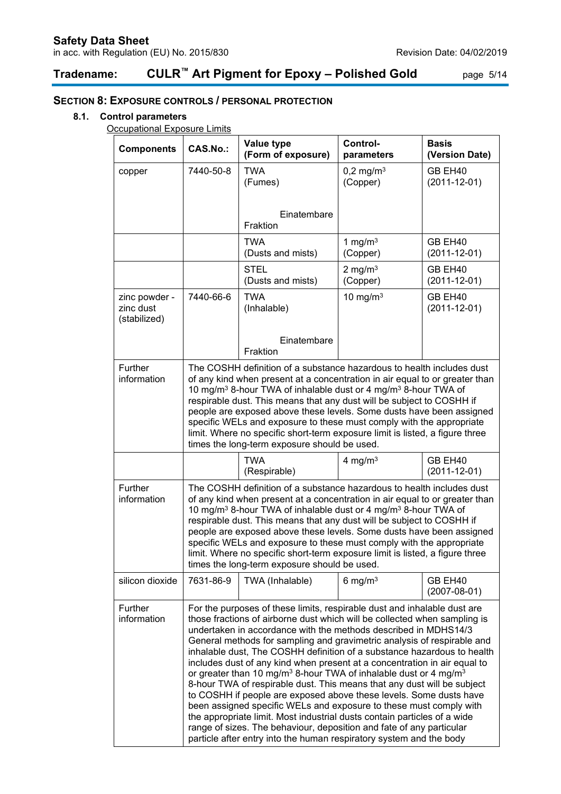# **Tradename: CULR™ Art Pigment for Epoxy – Polished Gold** page 5/14

## **SECTION 8: EXPOSURE CONTROLS / PERSONAL PROTECTION**

### **8.1. Control parameters**

**Occupational Exposure Limits** 

| <b>Components</b>                          | <b>CAS.No.:</b>                                                                                                                                                                                                                                                                                                                                                                                                                                                                                                                                                                                                                                                                                                                                                                                                                                                                                                                                                                                           | Value type<br>(Form of exposure)                                                                                                                                                                                                                                                                                                                                                                                                                                                                                                                                                                        | Control-<br>parameters           | <b>Basis</b><br>(Version Date) |  |
|--------------------------------------------|-----------------------------------------------------------------------------------------------------------------------------------------------------------------------------------------------------------------------------------------------------------------------------------------------------------------------------------------------------------------------------------------------------------------------------------------------------------------------------------------------------------------------------------------------------------------------------------------------------------------------------------------------------------------------------------------------------------------------------------------------------------------------------------------------------------------------------------------------------------------------------------------------------------------------------------------------------------------------------------------------------------|---------------------------------------------------------------------------------------------------------------------------------------------------------------------------------------------------------------------------------------------------------------------------------------------------------------------------------------------------------------------------------------------------------------------------------------------------------------------------------------------------------------------------------------------------------------------------------------------------------|----------------------------------|--------------------------------|--|
| copper                                     | 7440-50-8                                                                                                                                                                                                                                                                                                                                                                                                                                                                                                                                                                                                                                                                                                                                                                                                                                                                                                                                                                                                 | <b>TWA</b><br>(Fumes)                                                                                                                                                                                                                                                                                                                                                                                                                                                                                                                                                                                   | $0,2 \text{ mg/m}^3$<br>(Copper) | GB EH40<br>$(2011 - 12 - 01)$  |  |
|                                            |                                                                                                                                                                                                                                                                                                                                                                                                                                                                                                                                                                                                                                                                                                                                                                                                                                                                                                                                                                                                           | Einatembare<br>Fraktion                                                                                                                                                                                                                                                                                                                                                                                                                                                                                                                                                                                 |                                  |                                |  |
|                                            |                                                                                                                                                                                                                                                                                                                                                                                                                                                                                                                                                                                                                                                                                                                                                                                                                                                                                                                                                                                                           | <b>TWA</b><br>(Dusts and mists)                                                                                                                                                                                                                                                                                                                                                                                                                                                                                                                                                                         | 1 mg/m $3$<br>(Copper)           | GB EH40<br>$(2011 - 12 - 01)$  |  |
|                                            |                                                                                                                                                                                                                                                                                                                                                                                                                                                                                                                                                                                                                                                                                                                                                                                                                                                                                                                                                                                                           | <b>STEL</b><br>(Dusts and mists)                                                                                                                                                                                                                                                                                                                                                                                                                                                                                                                                                                        | 2 mg/m $3$<br>(Copper)           | GB EH40<br>$(2011 - 12 - 01)$  |  |
| zinc powder -<br>zinc dust<br>(stabilized) | 7440-66-6                                                                                                                                                                                                                                                                                                                                                                                                                                                                                                                                                                                                                                                                                                                                                                                                                                                                                                                                                                                                 | <b>TWA</b><br>(Inhalable)                                                                                                                                                                                                                                                                                                                                                                                                                                                                                                                                                                               | 10 mg/m $3$                      | GB EH40<br>$(2011 - 12 - 01)$  |  |
|                                            |                                                                                                                                                                                                                                                                                                                                                                                                                                                                                                                                                                                                                                                                                                                                                                                                                                                                                                                                                                                                           | Einatembare<br>Fraktion                                                                                                                                                                                                                                                                                                                                                                                                                                                                                                                                                                                 |                                  |                                |  |
| Further<br>information                     |                                                                                                                                                                                                                                                                                                                                                                                                                                                                                                                                                                                                                                                                                                                                                                                                                                                                                                                                                                                                           | The COSHH definition of a substance hazardous to health includes dust<br>of any kind when present at a concentration in air equal to or greater than<br>10 mg/m <sup>3</sup> 8-hour TWA of inhalable dust or 4 mg/m <sup>3</sup> 8-hour TWA of<br>respirable dust. This means that any dust will be subject to COSHH if<br>people are exposed above these levels. Some dusts have been assigned<br>specific WELs and exposure to these must comply with the appropriate<br>limit. Where no specific short-term exposure limit is listed, a figure three<br>times the long-term exposure should be used. |                                  |                                |  |
|                                            |                                                                                                                                                                                                                                                                                                                                                                                                                                                                                                                                                                                                                                                                                                                                                                                                                                                                                                                                                                                                           | <b>TWA</b><br>(Respirable)                                                                                                                                                                                                                                                                                                                                                                                                                                                                                                                                                                              | 4 mg/m $3$                       | GB EH40<br>$(2011 - 12 - 01)$  |  |
| Further<br>information                     | The COSHH definition of a substance hazardous to health includes dust<br>of any kind when present at a concentration in air equal to or greater than<br>10 mg/m <sup>3</sup> 8-hour TWA of inhalable dust or 4 mg/m <sup>3</sup> 8-hour TWA of<br>respirable dust. This means that any dust will be subject to COSHH if<br>people are exposed above these levels. Some dusts have been assigned<br>specific WELs and exposure to these must comply with the appropriate<br>limit. Where no specific short-term exposure limit is listed, a figure three<br>times the long-term exposure should be used.                                                                                                                                                                                                                                                                                                                                                                                                   |                                                                                                                                                                                                                                                                                                                                                                                                                                                                                                                                                                                                         |                                  |                                |  |
| silicon dioxide                            | 7631-86-9                                                                                                                                                                                                                                                                                                                                                                                                                                                                                                                                                                                                                                                                                                                                                                                                                                                                                                                                                                                                 | TWA (Inhalable)                                                                                                                                                                                                                                                                                                                                                                                                                                                                                                                                                                                         | 6 mg/m $3$                       | GB EH40<br>$(2007 - 08 - 01)$  |  |
| Further<br>information                     | For the purposes of these limits, respirable dust and inhalable dust are<br>those fractions of airborne dust which will be collected when sampling is<br>undertaken in accordance with the methods described in MDHS14/3<br>General methods for sampling and gravimetric analysis of respirable and<br>inhalable dust, The COSHH definition of a substance hazardous to health<br>includes dust of any kind when present at a concentration in air equal to<br>or greater than 10 mg/m <sup>3</sup> 8-hour TWA of inhalable dust or 4 mg/m <sup>3</sup><br>8-hour TWA of respirable dust. This means that any dust will be subject<br>to COSHH if people are exposed above these levels. Some dusts have<br>been assigned specific WELs and exposure to these must comply with<br>the appropriate limit. Most industrial dusts contain particles of a wide<br>range of sizes. The behaviour, deposition and fate of any particular<br>particle after entry into the human respiratory system and the body |                                                                                                                                                                                                                                                                                                                                                                                                                                                                                                                                                                                                         |                                  |                                |  |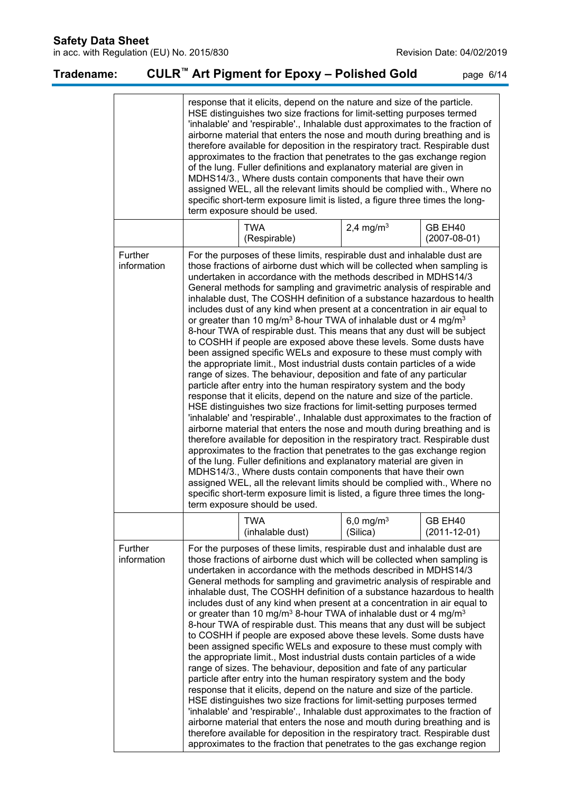**Safety Data Sheet**

in acc. with Regulation (EU) No. 2015/830 **Revision Date: 04/02/2019** Revision Date: 04/02/2019

| Tradename:                                                                                                                                                                                                                                                                                                                                                                                                                                                                                                                                                                                                                                                                                                                                                                                                                                                                                                                                                                                                                                                                                                                                                                                                                                                                                                                                                                                                                                                                                                         |                        |                                                                                                                                                                                                                                                                                                                                                                                                                                                                                                                                                                                                                                                                                                                                                                                                                                                                                                                                                                                                                                                                                                                                                                                                                                                                                                                                                                                                                                                                                                                                                                                                                                                                                                                                                                                                | CULR <sup>™</sup> Art Pigment for Epoxy – Polished Gold                                                                                                                                                                                                                                                                                                                                                                                                                                                                                                                                                                                                                                                                                                                                                           |                          | page 6/14                     |
|--------------------------------------------------------------------------------------------------------------------------------------------------------------------------------------------------------------------------------------------------------------------------------------------------------------------------------------------------------------------------------------------------------------------------------------------------------------------------------------------------------------------------------------------------------------------------------------------------------------------------------------------------------------------------------------------------------------------------------------------------------------------------------------------------------------------------------------------------------------------------------------------------------------------------------------------------------------------------------------------------------------------------------------------------------------------------------------------------------------------------------------------------------------------------------------------------------------------------------------------------------------------------------------------------------------------------------------------------------------------------------------------------------------------------------------------------------------------------------------------------------------------|------------------------|------------------------------------------------------------------------------------------------------------------------------------------------------------------------------------------------------------------------------------------------------------------------------------------------------------------------------------------------------------------------------------------------------------------------------------------------------------------------------------------------------------------------------------------------------------------------------------------------------------------------------------------------------------------------------------------------------------------------------------------------------------------------------------------------------------------------------------------------------------------------------------------------------------------------------------------------------------------------------------------------------------------------------------------------------------------------------------------------------------------------------------------------------------------------------------------------------------------------------------------------------------------------------------------------------------------------------------------------------------------------------------------------------------------------------------------------------------------------------------------------------------------------------------------------------------------------------------------------------------------------------------------------------------------------------------------------------------------------------------------------------------------------------------------------|-------------------------------------------------------------------------------------------------------------------------------------------------------------------------------------------------------------------------------------------------------------------------------------------------------------------------------------------------------------------------------------------------------------------------------------------------------------------------------------------------------------------------------------------------------------------------------------------------------------------------------------------------------------------------------------------------------------------------------------------------------------------------------------------------------------------|--------------------------|-------------------------------|
|                                                                                                                                                                                                                                                                                                                                                                                                                                                                                                                                                                                                                                                                                                                                                                                                                                                                                                                                                                                                                                                                                                                                                                                                                                                                                                                                                                                                                                                                                                                    |                        |                                                                                                                                                                                                                                                                                                                                                                                                                                                                                                                                                                                                                                                                                                                                                                                                                                                                                                                                                                                                                                                                                                                                                                                                                                                                                                                                                                                                                                                                                                                                                                                                                                                                                                                                                                                                | response that it elicits, depend on the nature and size of the particle.<br>HSE distinguishes two size fractions for limit-setting purposes termed<br>'inhalable' and 'respirable'., Inhalable dust approximates to the fraction of<br>airborne material that enters the nose and mouth during breathing and is<br>therefore available for deposition in the respiratory tract. Respirable dust<br>approximates to the fraction that penetrates to the gas exchange region<br>of the lung. Fuller definitions and explanatory material are given in<br>MDHS14/3., Where dusts contain components that have their own<br>assigned WEL, all the relevant limits should be complied with., Where no<br>specific short-term exposure limit is listed, a figure three times the long-<br>term exposure should be used. |                          |                               |
|                                                                                                                                                                                                                                                                                                                                                                                                                                                                                                                                                                                                                                                                                                                                                                                                                                                                                                                                                                                                                                                                                                                                                                                                                                                                                                                                                                                                                                                                                                                    |                        |                                                                                                                                                                                                                                                                                                                                                                                                                                                                                                                                                                                                                                                                                                                                                                                                                                                                                                                                                                                                                                                                                                                                                                                                                                                                                                                                                                                                                                                                                                                                                                                                                                                                                                                                                                                                | <b>TWA</b><br>(Respirable)                                                                                                                                                                                                                                                                                                                                                                                                                                                                                                                                                                                                                                                                                                                                                                                        | 2,4 mg/m <sup>3</sup>    | GB EH40<br>$(2007 - 08 - 01)$ |
|                                                                                                                                                                                                                                                                                                                                                                                                                                                                                                                                                                                                                                                                                                                                                                                                                                                                                                                                                                                                                                                                                                                                                                                                                                                                                                                                                                                                                                                                                                                    | Further<br>information | For the purposes of these limits, respirable dust and inhalable dust are<br>those fractions of airborne dust which will be collected when sampling is<br>undertaken in accordance with the methods described in MDHS14/3<br>General methods for sampling and gravimetric analysis of respirable and<br>inhalable dust, The COSHH definition of a substance hazardous to health<br>includes dust of any kind when present at a concentration in air equal to<br>or greater than 10 mg/m <sup>3</sup> 8-hour TWA of inhalable dust or 4 mg/m <sup>3</sup><br>8-hour TWA of respirable dust. This means that any dust will be subject<br>to COSHH if people are exposed above these levels. Some dusts have<br>been assigned specific WELs and exposure to these must comply with<br>the appropriate limit., Most industrial dusts contain particles of a wide<br>range of sizes. The behaviour, deposition and fate of any particular<br>particle after entry into the human respiratory system and the body<br>response that it elicits, depend on the nature and size of the particle.<br>HSE distinguishes two size fractions for limit-setting purposes termed<br>'inhalable' and 'respirable'., Inhalable dust approximates to the fraction of<br>airborne material that enters the nose and mouth during breathing and is<br>therefore available for deposition in the respiratory tract. Respirable dust<br>approximates to the fraction that penetrates to the gas exchange region<br>of the lung. Fuller definitions and explanatory material are given in<br>MDHS14/3., Where dusts contain components that have their own<br>assigned WEL, all the relevant limits should be complied with., Where no<br>specific short-term exposure limit is listed, a figure three times the long- |                                                                                                                                                                                                                                                                                                                                                                                                                                                                                                                                                                                                                                                                                                                                                                                                                   |                          |                               |
|                                                                                                                                                                                                                                                                                                                                                                                                                                                                                                                                                                                                                                                                                                                                                                                                                                                                                                                                                                                                                                                                                                                                                                                                                                                                                                                                                                                                                                                                                                                    |                        |                                                                                                                                                                                                                                                                                                                                                                                                                                                                                                                                                                                                                                                                                                                                                                                                                                                                                                                                                                                                                                                                                                                                                                                                                                                                                                                                                                                                                                                                                                                                                                                                                                                                                                                                                                                                | <b>TWA</b><br>(inhalable dust)                                                                                                                                                                                                                                                                                                                                                                                                                                                                                                                                                                                                                                                                                                                                                                                    | 6,0 mg/m $3$<br>(Silica) | GB EH40<br>$(2011 - 12 - 01)$ |
| For the purposes of these limits, respirable dust and inhalable dust are<br>Further<br>those fractions of airborne dust which will be collected when sampling is<br>information<br>undertaken in accordance with the methods described in MDHS14/3<br>General methods for sampling and gravimetric analysis of respirable and<br>inhalable dust, The COSHH definition of a substance hazardous to health<br>includes dust of any kind when present at a concentration in air equal to<br>or greater than 10 mg/m <sup>3</sup> 8-hour TWA of inhalable dust or 4 mg/m <sup>3</sup><br>8-hour TWA of respirable dust. This means that any dust will be subject<br>to COSHH if people are exposed above these levels. Some dusts have<br>been assigned specific WELs and exposure to these must comply with<br>the appropriate limit., Most industrial dusts contain particles of a wide<br>range of sizes. The behaviour, deposition and fate of any particular<br>particle after entry into the human respiratory system and the body<br>response that it elicits, depend on the nature and size of the particle.<br>HSE distinguishes two size fractions for limit-setting purposes termed<br>'inhalable' and 'respirable'., Inhalable dust approximates to the fraction of<br>airborne material that enters the nose and mouth during breathing and is<br>therefore available for deposition in the respiratory tract. Respirable dust<br>approximates to the fraction that penetrates to the gas exchange region |                        |                                                                                                                                                                                                                                                                                                                                                                                                                                                                                                                                                                                                                                                                                                                                                                                                                                                                                                                                                                                                                                                                                                                                                                                                                                                                                                                                                                                                                                                                                                                                                                                                                                                                                                                                                                                                |                                                                                                                                                                                                                                                                                                                                                                                                                                                                                                                                                                                                                                                                                                                                                                                                                   |                          |                               |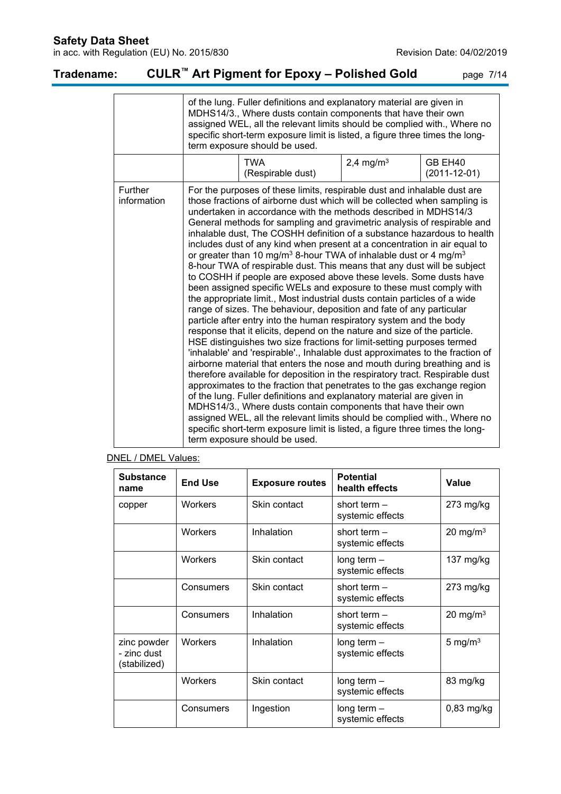in acc. with Regulation (EU) No. 2015/830 **Revision Date: 04/02/2019** Revision Date: 04/02/2019

# **Tradename: CULR™ Art Pigment for Epoxy – Polished Gold** page 7/14

|                               | of the lung. Fuller definitions and explanatory material are given in<br>MDHS14/3., Where dusts contain components that have their own<br>assigned WEL, all the relevant limits should be complied with., Where no<br>specific short-term exposure limit is listed, a figure three times the long-<br>term exposure should be used.                                                                                                                                                                                                                                                                                                                                                                                                                                                                                                                                                                                                                                                                                                                                                                                                                                                                                                                                                                                                                                                                                                                                                                                                                                                                                                                                                                                                                                                                                             |                          |                       |                               |  |
|-------------------------------|---------------------------------------------------------------------------------------------------------------------------------------------------------------------------------------------------------------------------------------------------------------------------------------------------------------------------------------------------------------------------------------------------------------------------------------------------------------------------------------------------------------------------------------------------------------------------------------------------------------------------------------------------------------------------------------------------------------------------------------------------------------------------------------------------------------------------------------------------------------------------------------------------------------------------------------------------------------------------------------------------------------------------------------------------------------------------------------------------------------------------------------------------------------------------------------------------------------------------------------------------------------------------------------------------------------------------------------------------------------------------------------------------------------------------------------------------------------------------------------------------------------------------------------------------------------------------------------------------------------------------------------------------------------------------------------------------------------------------------------------------------------------------------------------------------------------------------|--------------------------|-----------------------|-------------------------------|--|
|                               |                                                                                                                                                                                                                                                                                                                                                                                                                                                                                                                                                                                                                                                                                                                                                                                                                                                                                                                                                                                                                                                                                                                                                                                                                                                                                                                                                                                                                                                                                                                                                                                                                                                                                                                                                                                                                                 | TWA<br>(Respirable dust) | 2,4 mg/m <sup>3</sup> | GB EH40<br>$(2011 - 12 - 01)$ |  |
| <b>Further</b><br>information | For the purposes of these limits, respirable dust and inhalable dust are<br>those fractions of airborne dust which will be collected when sampling is<br>undertaken in accordance with the methods described in MDHS14/3<br>General methods for sampling and gravimetric analysis of respirable and<br>inhalable dust, The COSHH definition of a substance hazardous to health<br>includes dust of any kind when present at a concentration in air equal to<br>or greater than 10 mg/m <sup>3</sup> 8-hour TWA of inhalable dust or 4 mg/m <sup>3</sup><br>8-hour TWA of respirable dust. This means that any dust will be subject<br>to COSHH if people are exposed above these levels. Some dusts have<br>been assigned specific WELs and exposure to these must comply with<br>the appropriate limit., Most industrial dusts contain particles of a wide<br>range of sizes. The behaviour, deposition and fate of any particular<br>particle after entry into the human respiratory system and the body<br>response that it elicits, depend on the nature and size of the particle.<br>HSE distinguishes two size fractions for limit-setting purposes termed<br>'inhalable' and 'respirable'., Inhalable dust approximates to the fraction of<br>airborne material that enters the nose and mouth during breathing and is<br>therefore available for deposition in the respiratory tract. Respirable dust<br>approximates to the fraction that penetrates to the gas exchange region<br>of the lung. Fuller definitions and explanatory material are given in<br>MDHS14/3., Where dusts contain components that have their own<br>assigned WEL, all the relevant limits should be complied with., Where no<br>specific short-term exposure limit is listed, a figure three times the long-<br>term exposure should be used. |                          |                       |                               |  |

### DNEL / DMEL Values:

| <b>Substance</b><br>name                   | <b>End Use</b> | <b>Exposure routes</b> | <b>Potential</b><br>health effects | Value        |
|--------------------------------------------|----------------|------------------------|------------------------------------|--------------|
| copper                                     | <b>Workers</b> | Skin contact           | short term $-$<br>systemic effects | $273$ mg/kg  |
|                                            | <b>Workers</b> | Inhalation             | short term $-$<br>systemic effects | 20 mg/m $3$  |
|                                            | <b>Workers</b> | Skin contact           | long term $-$<br>systemic effects  | 137 $mg/kg$  |
|                                            | Consumers      | Skin contact           | short term $-$<br>systemic effects | $273$ mg/kg  |
|                                            | Consumers      | Inhalation             | short term $-$<br>systemic effects | 20 mg/m $3$  |
| zinc powder<br>- zinc dust<br>(stabilized) | <b>Workers</b> | Inhalation             | long term $-$<br>systemic effects  | 5 mg/m $3$   |
|                                            | <b>Workers</b> | Skin contact           | long term $-$<br>systemic effects  | 83 mg/kg     |
|                                            | Consumers      | Ingestion              | long term $-$<br>systemic effects  | $0,83$ mg/kg |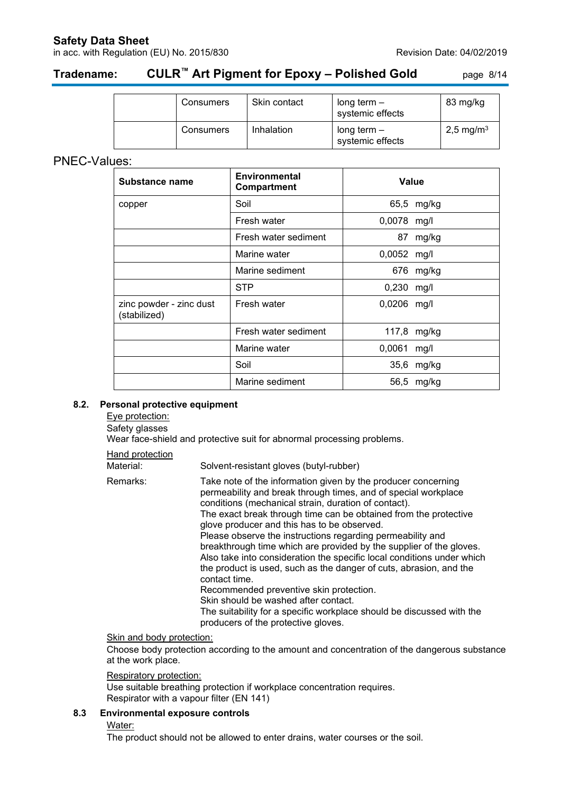### **Safety Data Sheet**

in acc. with Regulation (EU) No. 2015/830 **Revision Date: 04/02/2019** Revision Date: 04/02/2019

# **Tradename: CULR™ Art Pigment for Epoxy – Polished Gold** page 8/14

| Consumers | Skin contact | long term $-$<br>systemic effects | 83 mg/kg              |
|-----------|--------------|-----------------------------------|-----------------------|
| Consumers | Inhalation   | long term $-$<br>systemic effects | 2,5 mg/m <sup>3</sup> |

### PNEC-Values:

| Substance name                          | <b>Environmental</b><br>Compartment | Value         |             |
|-----------------------------------------|-------------------------------------|---------------|-------------|
| copper                                  | Soil                                |               | 65,5 mg/kg  |
|                                         | Fresh water                         | 0,0078 mg/l   |             |
|                                         | Fresh water sediment                |               | 87 mg/kg    |
|                                         | Marine water                        | 0,0052 mg/l   |             |
|                                         | Marine sediment                     |               | 676 mg/kg   |
|                                         | <b>STP</b>                          | 0,230 mg/l    |             |
| zinc powder - zinc dust<br>(stabilized) | Fresh water                         | $0,0206$ mg/l |             |
|                                         | Fresh water sediment                |               | 117,8 mg/kg |
|                                         | Marine water                        | 0,0061        | mg/l        |
|                                         | Soil                                |               | 35,6 mg/kg  |
|                                         | Marine sediment                     |               | 56,5 mg/kg  |

### **8.2. Personal protective equipment**

Eye protection:

Safety glasses

Wear face-shield and protective suit for abnormal processing problems.

Hand protection

| nanu protection |                                                                                                                                                                                                                                                                                                                                                                                                                                                                                                                                                                                                                                                                                                                                                                                                                     |
|-----------------|---------------------------------------------------------------------------------------------------------------------------------------------------------------------------------------------------------------------------------------------------------------------------------------------------------------------------------------------------------------------------------------------------------------------------------------------------------------------------------------------------------------------------------------------------------------------------------------------------------------------------------------------------------------------------------------------------------------------------------------------------------------------------------------------------------------------|
| Material:       | Solvent-resistant gloves (butyl-rubber)                                                                                                                                                                                                                                                                                                                                                                                                                                                                                                                                                                                                                                                                                                                                                                             |
| Remarks:        | Take note of the information given by the producer concerning<br>permeability and break through times, and of special workplace<br>conditions (mechanical strain, duration of contact).<br>The exact break through time can be obtained from the protective<br>glove producer and this has to be observed.<br>Please observe the instructions regarding permeability and<br>breakthrough time which are provided by the supplier of the gloves.<br>Also take into consideration the specific local conditions under which<br>the product is used, such as the danger of cuts, abrasion, and the<br>contact time.<br>Recommended preventive skin protection.<br>Skin should be washed after contact.<br>The suitability for a specific workplace should be discussed with the<br>producers of the protective gloves. |

### Skin and body protection:

Choose body protection according to the amount and concentration of the dangerous substance at the work place.

### Respiratory protection:

Use suitable breathing protection if workplace concentration requires. Respirator with a vapour filter (EN 141)

### **8.3 Environmental exposure controls**

Water:

The product should not be allowed to enter drains, water courses or the soil.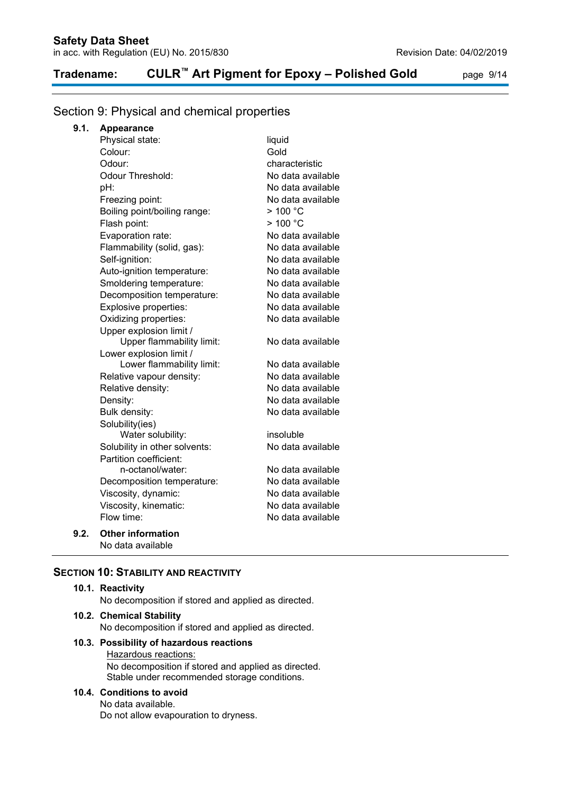## **Tradename: CULR™ Art Pigment for Epoxy – Polished Gold** page 9/14

### Section 9: Physical and chemical properties

| 9.1. | <b>Appearance</b> |
|------|-------------------|
|------|-------------------|

| Physical state:               | liquid               |
|-------------------------------|----------------------|
| Colour:                       | Gold                 |
| Odour:                        | characteristic       |
| <b>Odour Threshold:</b>       | No data available    |
| pH:                           | No data available    |
| Freezing point:               | No data available    |
| Boiling point/boiling range:  | $>$ 100 $^{\circ}$ C |
| Flash point:                  | >100 °C              |
| Evaporation rate:             | No data available    |
| Flammability (solid, gas):    | No data available    |
| Self-ignition:                | No data available    |
| Auto-ignition temperature:    | No data available    |
| Smoldering temperature:       | No data available    |
| Decomposition temperature:    | No data available    |
| Explosive properties:         | No data available    |
| Oxidizing properties:         | No data available    |
| Upper explosion limit /       |                      |
| Upper flammability limit:     | No data available    |
| Lower explosion limit /       |                      |
| Lower flammability limit:     | No data available    |
| Relative vapour density:      | No data available    |
| Relative density:             | No data available    |
| Density:                      | No data available    |
| Bulk density:                 | No data available    |
| Solubility(ies)               |                      |
| Water solubility:             | insoluble            |
| Solubility in other solvents: | No data available    |
| Partition coefficient:        |                      |
| n-octanol/water:              | No data available    |
| Decomposition temperature:    | No data available    |
| Viscosity, dynamic:           | No data available    |
| Viscosity, kinematic:         | No data available    |
| Flow time:                    | No data available    |
| <b>Other information</b>      |                      |
| No data available             |                      |

### **SECTION 10: STABILITY AND REACTIVITY**

### **10.1. Reactivity**

**9.2.** 

No decomposition if stored and applied as directed.

### **10.2. Chemical Stability**

No decomposition if stored and applied as directed.

#### **10.3. Possibility of hazardous reactions** Hazardous reactions: No decomposition if stored and applied as directed. Stable under recommended storage conditions.

#### **10.4. Conditions to avoid**

No data available.

Do not allow evapouration to dryness.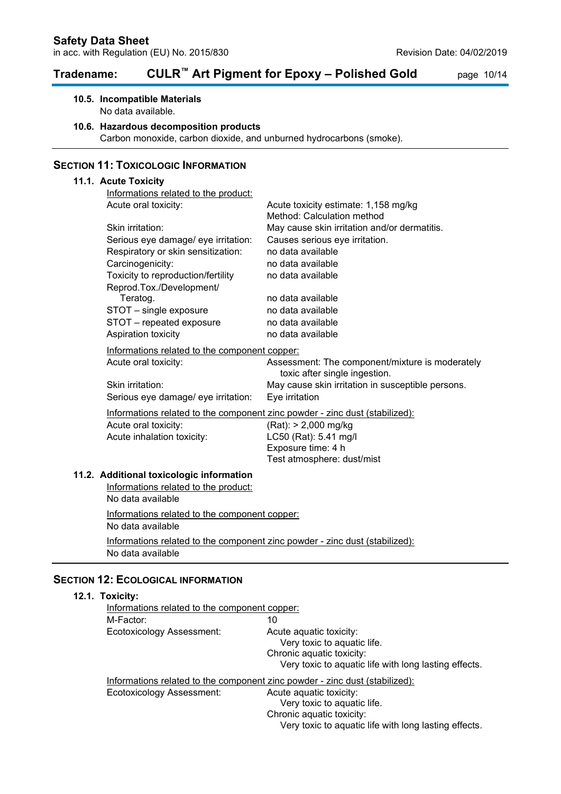### **Tradename: CULR™ Art Pigment for Epoxy – Polished Gold** page 10/14

### **10.5. Incompatible Materials**

No data available.

#### **10.6. Hazardous decomposition products**

Carbon monoxide, carbon dioxide, and unburned hydrocarbons (smoke).

### **SECTION 11: TOXICOLOGIC INFORMATION**

### **11.1. Acute Toxicity** Informations related to the product: Acute oral toxicity: Acute toxicity estimate: 1,158 mg/kg Method: Calculation method Skin irritation: May cause skin irritation and/or dermatitis. Serious eye damage/ eye irritation: Causes serious eye irritation. Respiratory or skin sensitization: no data available Carcinogenicity: no data available Toxicity to reproduction/fertility no data available Reprod.Tox./Development/ Teratog. The contract of the contract of the contract of the models available STOT – single exposure entity in the data available<br>STOT – repeated exposure on data available STOT – repeated exposure Aspiration toxicity example a no data available Informations related to the component copper: Acute oral toxicity: Assessment: The component/mixture is moderately toxic after single ingestion. Skin irritation: May cause skin irritation in susceptible persons. Serious eye damage/ eye irritation: Eye irritation Informations related to the component zinc powder - zinc dust (stabilized): Acute oral toxicity: (Rat): > 2,000 mg/kg Acute inhalation toxicity: LC50 (Rat): 5.41 mg/l Exposure time: 4 h Test atmosphere: dust/mist **11.2. Additional toxicologic information** Informations related to the product: No data available Informations related to the component copper: No data available Informations related to the component zinc powder - zinc dust (stabilized): No data available

### **SECTION 12: ECOLOGICAL INFORMATION**

### **12.1. Toxicity:**

| Informations related to the component copper:                               |                                                       |
|-----------------------------------------------------------------------------|-------------------------------------------------------|
| M-Factor:                                                                   | 10                                                    |
| Ecotoxicology Assessment:                                                   | Acute aquatic toxicity:                               |
|                                                                             | Very toxic to aquatic life.                           |
|                                                                             | Chronic aquatic toxicity:                             |
|                                                                             | Very toxic to aquatic life with long lasting effects. |
| Informations related to the component zinc powder - zinc dust (stabilized): |                                                       |
| Ecotoxicology Assessment:                                                   | Acute aquatic toxicity:                               |
|                                                                             | Very toxic to aquatic life.                           |
|                                                                             | Chronic aquatic toxicity:                             |
|                                                                             | Very toxic to aquatic life with long lasting effects. |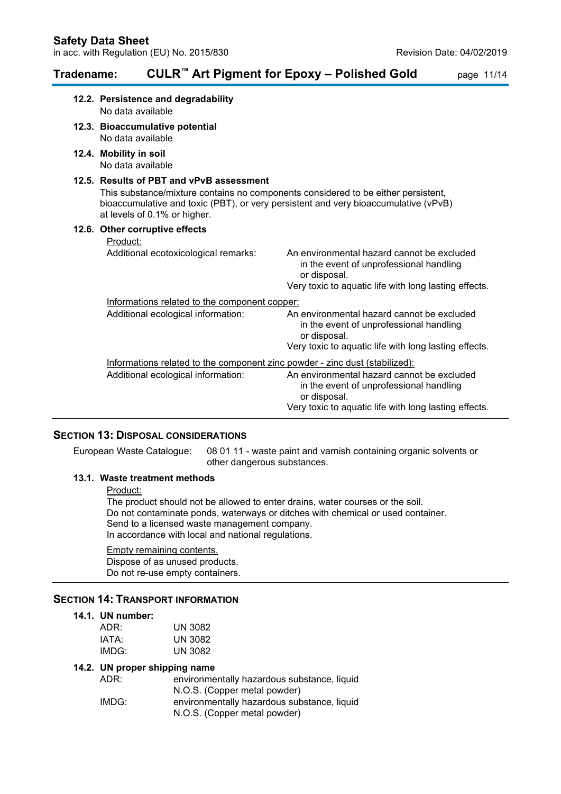## **Tradename: CULR™ Art Pigment for Epoxy – Polished Gold** page 11/14

| 12.2. Persistence and degradability<br>No data available                                                                                                                                                                                             |                                                                                                                                                                |
|------------------------------------------------------------------------------------------------------------------------------------------------------------------------------------------------------------------------------------------------------|----------------------------------------------------------------------------------------------------------------------------------------------------------------|
| 12.3. Bioaccumulative potential<br>No data available                                                                                                                                                                                                 |                                                                                                                                                                |
| 12.4. Mobility in soil<br>No data available                                                                                                                                                                                                          |                                                                                                                                                                |
| 12.5. Results of PBT and vPvB assessment<br>This substance/mixture contains no components considered to be either persistent,<br>bioaccumulative and toxic (PBT), or very persistent and very bioaccumulative (vPvB)<br>at levels of 0.1% or higher. |                                                                                                                                                                |
| 12.6. Other corruptive effects                                                                                                                                                                                                                       |                                                                                                                                                                |
| Product:                                                                                                                                                                                                                                             |                                                                                                                                                                |
| Additional ecotoxicological remarks:                                                                                                                                                                                                                 | An environmental hazard cannot be excluded<br>in the event of unprofessional handling<br>or disposal.<br>Very toxic to aquatic life with long lasting effects. |
| Informations related to the component copper:                                                                                                                                                                                                        |                                                                                                                                                                |
| Additional ecological information:                                                                                                                                                                                                                   | An environmental hazard cannot be excluded<br>in the event of unprofessional handling<br>or disposal.<br>Very toxic to aquatic life with long lasting effects. |
| Informations related to the component zinc powder - zinc dust (stabilized):                                                                                                                                                                          |                                                                                                                                                                |
| Additional ecological information:                                                                                                                                                                                                                   | An environmental hazard cannot be excluded<br>in the event of unprofessional handling<br>or disposal.<br>Very toxic to aquatic life with long lasting effects. |

### **SECTION 13: DISPOSAL CONSIDERATIONS**

European Waste Catalogue: 08 01 11 - waste paint and varnish containing organic solvents or other dangerous substances.

#### **13.1. Waste treatment methods**

Product:

The product should not be allowed to enter drains, water courses or the soil. Do not contaminate ponds, waterways or ditches with chemical or used container. Send to a licensed waste management company. In accordance with local and national regulations.

### Empty remaining contents.

Dispose of as unused products. Do not re-use empty containers.

### **SECTION 14: TRANSPORT INFORMATION**

### **14.1. UN number:**

| ADR:  | UN 3082 |
|-------|---------|
| IATA: | UN 3082 |
| IMDG: | UN 3082 |

### **14.2. UN proper shipping name**

| ADR:  | environmentally hazardous substance, liquid |
|-------|---------------------------------------------|
|       | N.O.S. (Copper metal powder)                |
| IMDG: | environmentally hazardous substance, liquid |
|       | N.O.S. (Copper metal powder)                |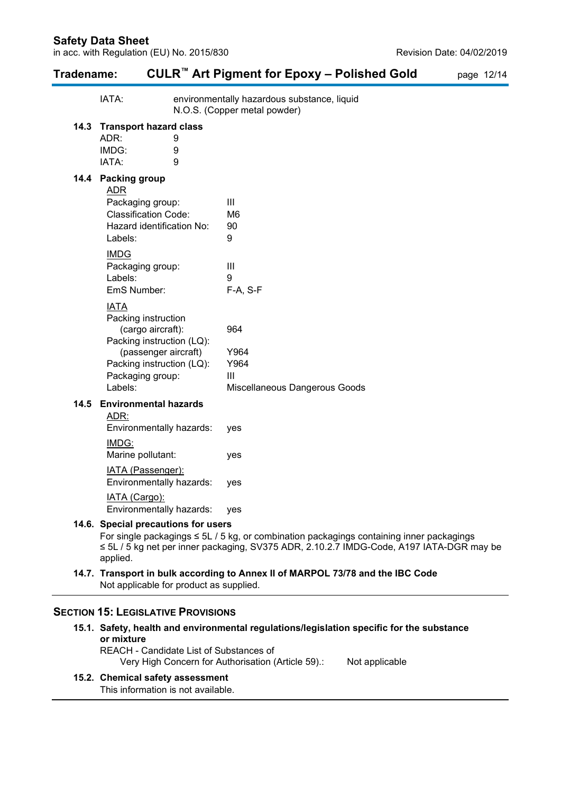| Tradename: |                                                                                                                                                                          |                                | CULR <sup>™</sup> Art Pigment for Epoxy - Polished Gold                                                                                                                                   | page 12/14 |  |
|------------|--------------------------------------------------------------------------------------------------------------------------------------------------------------------------|--------------------------------|-------------------------------------------------------------------------------------------------------------------------------------------------------------------------------------------|------------|--|
|            | IATA:                                                                                                                                                                    |                                | environmentally hazardous substance, liquid<br>N.O.S. (Copper metal powder)                                                                                                               |            |  |
| 14.3       | <b>Transport hazard class</b><br>ADR:<br>9<br>IMDG:<br>9<br>IATA:<br>9                                                                                                   |                                |                                                                                                                                                                                           |            |  |
|            | 14.4 Packing group<br><b>ADR</b><br>Packaging group:<br><b>Classification Code:</b><br>Hazard identification No:<br>Labels:                                              | Ш<br>M <sub>6</sub><br>90<br>9 |                                                                                                                                                                                           |            |  |
|            | <b>IMDG</b><br>Packaging group:<br>Labels:<br>EmS Number:                                                                                                                | Ш<br>9                         | F-A, S-F                                                                                                                                                                                  |            |  |
|            | <b>IATA</b><br>Packing instruction<br>(cargo aircraft):<br>Packing instruction (LQ):<br>(passenger aircraft)<br>Packing instruction (LQ):<br>Packaging group:<br>Labels: | 964<br>III                     | Y964<br>Y964<br>Miscellaneous Dangerous Goods                                                                                                                                             |            |  |
| 14.5       | <b>Environmental hazards</b><br><u>ADR:</u><br>Environmentally hazards:<br>IMD <sub>G</sub> :<br>Marine pollutant:                                                       | yes<br>yes                     |                                                                                                                                                                                           |            |  |
|            | <b>IATA</b> (Passenger):<br>Environmentally hazards:<br>IATA (Cargo):<br>Environmentally hazards:                                                                        | yes<br>yes                     |                                                                                                                                                                                           |            |  |
|            | 14.6. Special precautions for users<br>applied.                                                                                                                          |                                | For single packagings $\leq$ 5L / 5 kg, or combination packagings containing inner packagings<br>≤ 5L / 5 kg net per inner packaging, SV375 ADR, 2.10.2.7 IMDG-Code, A197 IATA-DGR may be |            |  |
|            | Not applicable for product as supplied.                                                                                                                                  |                                | 14.7. Transport in bulk according to Annex II of MARPOL 73/78 and the IBC Code                                                                                                            |            |  |

### **SECTION 15: LEGISLATIVE PROVISIONS**

**15.1. Safety, health and environmental regulations/legislation specific for the substance or mixture** REACH - Candidate List of Substances of

Very High Concern for Authorisation (Article 59).: Not applicable

### **15.2. Chemical safety assessment**

This information is not available.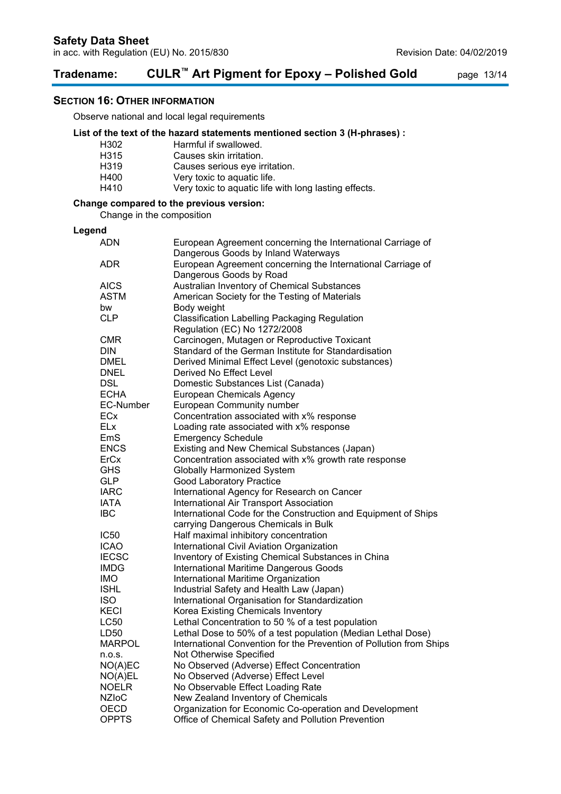# **Tradename: CULR™ Art Pigment for Epoxy – Polished Gold** page 13/14

### **SECTION 16: OTHER INFORMATION**

Observe national and local legal requirements

### **List of the text of the hazard statements mentioned section 3 (H-phrases) :**

| Harmful if swallowed.                                 |
|-------------------------------------------------------|
| Causes skin irritation.                               |
| Causes serious eye irritation.                        |
| Very toxic to aquatic life.                           |
| Very toxic to aquatic life with long lasting effects. |
|                                                       |

### **Change compared to the previous version:**

Change in the composition

#### **Legend**

| <b>ADN</b>       | European Agreement concerning the International Carriage of<br>Dangerous Goods by Inland Waterways |
|------------------|----------------------------------------------------------------------------------------------------|
| ADR              | European Agreement concerning the International Carriage of<br>Dangerous Goods by Road             |
| <b>AICS</b>      | Australian Inventory of Chemical Substances                                                        |
| ASTM             | American Society for the Testing of Materials                                                      |
| bw               | Body weight                                                                                        |
| <b>CLP</b>       | <b>Classification Labelling Packaging Regulation</b>                                               |
|                  | Regulation (EC) No 1272/2008                                                                       |
| <b>CMR</b>       | Carcinogen, Mutagen or Reproductive Toxicant                                                       |
| <b>DIN</b>       | Standard of the German Institute for Standardisation                                               |
|                  |                                                                                                    |
| <b>DMEL</b>      | Derived Minimal Effect Level (genotoxic substances)                                                |
| <b>DNEL</b>      | Derived No Effect Level                                                                            |
| <b>DSL</b>       | Domestic Substances List (Canada)                                                                  |
| <b>ECHA</b>      | <b>European Chemicals Agency</b>                                                                   |
| EC-Number        | <b>European Community number</b>                                                                   |
| ECx              | Concentration associated with x% response                                                          |
| ELx              | Loading rate associated with x% response                                                           |
| EmS              | <b>Emergency Schedule</b>                                                                          |
| <b>ENCS</b>      | Existing and New Chemical Substances (Japan)                                                       |
| ErCx             | Concentration associated with x% growth rate response                                              |
| GHS              | <b>Globally Harmonized System</b>                                                                  |
| <b>GLP</b>       | <b>Good Laboratory Practice</b>                                                                    |
| <b>IARC</b>      | International Agency for Research on Cancer                                                        |
| <b>IATA</b>      | International Air Transport Association                                                            |
| <b>IBC</b>       | International Code for the Construction and Equipment of Ships                                     |
|                  | carrying Dangerous Chemicals in Bulk                                                               |
| IC <sub>50</sub> | Half maximal inhibitory concentration                                                              |
| <b>ICAO</b>      | International Civil Aviation Organization                                                          |
| <b>IECSC</b>     | Inventory of Existing Chemical Substances in China                                                 |
| <b>IMDG</b>      | International Maritime Dangerous Goods                                                             |
| <b>IMO</b>       | International Maritime Organization                                                                |
| <b>ISHL</b>      | Industrial Safety and Health Law (Japan)                                                           |
| <b>ISO</b>       | International Organisation for Standardization                                                     |
| KECI             | Korea Existing Chemicals Inventory                                                                 |
| LC50             | Lethal Concentration to 50 % of a test population                                                  |
| LD50             | Lethal Dose to 50% of a test population (Median Lethal Dose)                                       |
| MARPOL           | International Convention for the Prevention of Pollution from Ships                                |
| n.o.s.           | Not Otherwise Specified                                                                            |
| NO(A)EC          | No Observed (Adverse) Effect Concentration                                                         |
| NO(A)EL          | No Observed (Adverse) Effect Level                                                                 |
| <b>NOELR</b>     | No Observable Effect Loading Rate                                                                  |
| <b>NZIoC</b>     | New Zealand Inventory of Chemicals                                                                 |
| OECD             | Organization for Economic Co-operation and Development                                             |
| <b>OPPTS</b>     |                                                                                                    |
|                  | Office of Chemical Safety and Pollution Prevention                                                 |